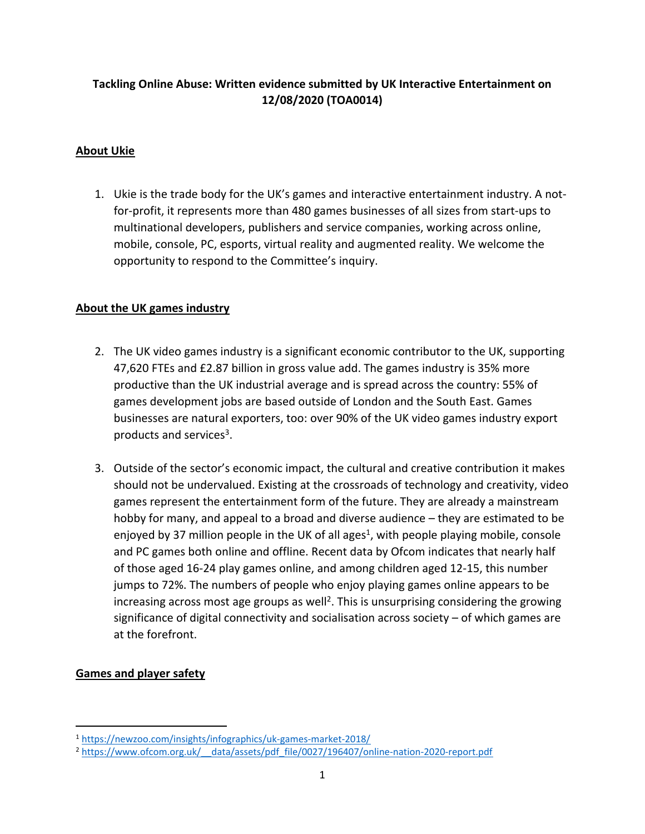# **Tackling Online Abuse: Written evidence submitted by UK Interactive Entertainment on 12/08/2020 (TOA0014)**

# **About Ukie**

1. Ukie is the trade body for the UK's games and interactive entertainment industry. A notfor-profit, it represents more than 480 games businesses of all sizes from start-ups to multinational developers, publishers and service companies, working across online, mobile, console, PC, esports, virtual reality and augmented reality. We welcome the opportunity to respond to the Committee's inquiry.

# **About the UK games industry**

- 2. The UK video games industry is a significant economic contributor to the UK, supporting 47,620 FTEs and £2.87 billion in gross value add. The games industry is 35% more productive than the UK industrial average and is spread across the country: 55% of games development jobs are based outside of London and the South East. Games businesses are natural exporters, too: over 90% of the UK video games industry export products and services<sup>3</sup>.
- 3. Outside of the sector's economic impact, the cultural and creative contribution it makes should not be undervalued. Existing at the crossroads of technology and creativity, video games represent the entertainment form of the future. They are already a mainstream hobby for many, and appeal to a broad and diverse audience – they are estimated to be enjoyed by 37 million people in the UK of all ages<sup>1</sup>, with people playing mobile, console and PC games both online and offline. Recent data by Ofcom indicates that nearly half of those aged 16-24 play games online, and among children aged 12-15, this number jumps to 72%. The numbers of people who enjoy playing games online appears to be increasing across most age groups as well<sup>2</sup>. This is unsurprising considering the growing significance of digital connectivity and socialisation across society – of which games are at the forefront.

# **Games and player safety**

<sup>1</sup> <https://newzoo.com/insights/infographics/uk-games-market-2018/>

<sup>2</sup> [https://www.ofcom.org.uk/\\_\\_data/assets/pdf\\_file/0027/196407/online-nation-2020-report.pdf](https://www.ofcom.org.uk/__data/assets/pdf_file/0027/196407/online-nation-2020-report.pdf)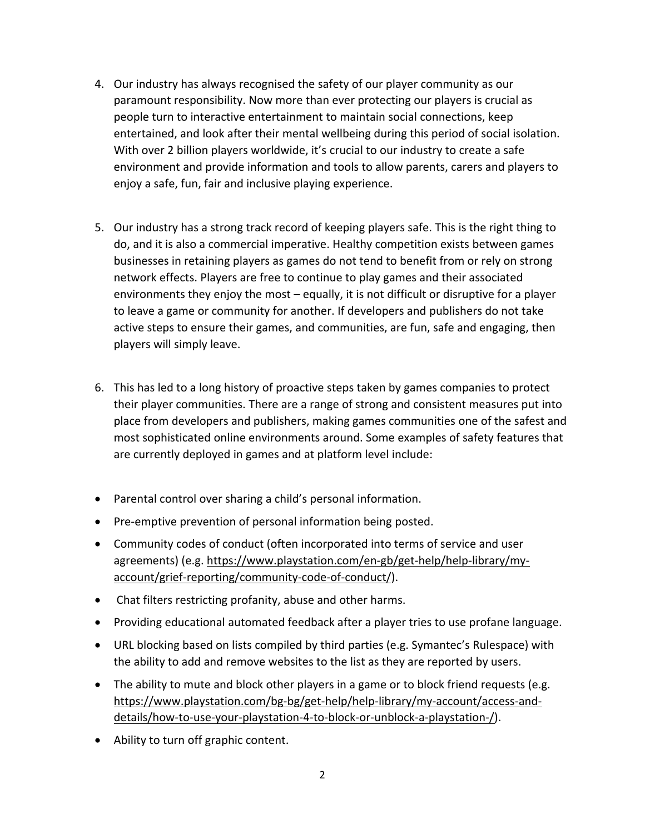- 4. Our industry has always recognised the safety of our player community as our paramount responsibility. Now more than ever protecting our players is crucial as people turn to interactive entertainment to maintain social connections, keep entertained, and look after their mental wellbeing during this period of social isolation. With over 2 billion players worldwide, it's crucial to our industry to create a safe environment and provide information and tools to allow parents, carers and players to enjoy a safe, fun, fair and inclusive playing experience.
- 5. Our industry has a strong track record of keeping players safe. This is the right thing to do, and it is also a commercial imperative. Healthy competition exists between games businesses in retaining players as games do not tend to benefit from or rely on strong network effects. Players are free to continue to play games and their associated environments they enjoy the most – equally, it is not difficult or disruptive for a player to leave a game or community for another. If developers and publishers do not take active steps to ensure their games, and communities, are fun, safe and engaging, then players will simply leave.
- 6. This has led to a long history of proactive steps taken by games companies to protect their player communities. There are a range of strong and consistent measures put into place from developers and publishers, making games communities one of the safest and most sophisticated online environments around. Some examples of safety features that are currently deployed in games and at platform level include:
- Parental control over sharing a child's personal information.
- Pre-emptive prevention of personal information being posted.
- Community codes of conduct (often incorporated into terms of service and user agreements) (e.g. [https://www.playstation.com/en-gb/get-help/help-library/my](https://www.playstation.com/en-gb/get-help/help-library/my-account/grief-reporting/community-code-of-conduct/)[account/grief-reporting/community-code-of-conduct/\)](https://www.playstation.com/en-gb/get-help/help-library/my-account/grief-reporting/community-code-of-conduct/).
- Chat filters restricting profanity, abuse and other harms.
- Providing educational automated feedback after a player tries to use profane language.
- URL blocking based on lists compiled by third parties (e.g. Symantec's Rulespace) with the ability to add and remove websites to the list as they are reported by users.
- The ability to mute and block other players in a game or to block friend requests (e.g. [https://www.playstation.com/bg-bg/get-help/help-library/my-account/access-and](https://www.playstation.com/bg-bg/get-help/help-library/my-account/access-and-details/how-to-use-your-playstation-4-to-block-or-unblock-a-playstation-/)[details/how-to-use-your-playstation-4-to-block-or-unblock-a-playstation-/\)](https://www.playstation.com/bg-bg/get-help/help-library/my-account/access-and-details/how-to-use-your-playstation-4-to-block-or-unblock-a-playstation-/).
- Ability to turn off graphic content.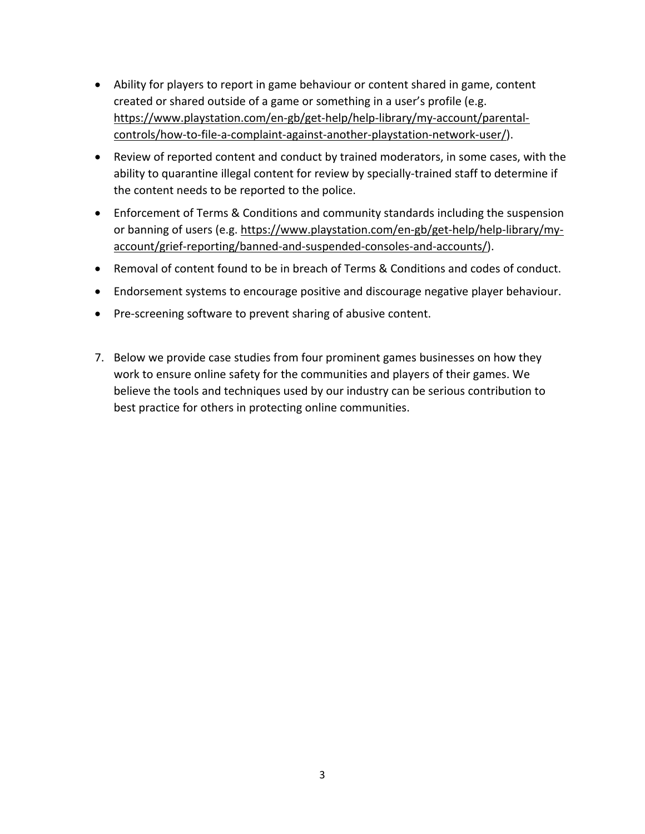- Ability for players to report in game behaviour or content shared in game, content created or shared outside of a game or something in a user's profile (e.g. [https://www.playstation.com/en-gb/get-help/help-library/my-account/parental](https://www.playstation.com/en-gb/get-help/help-library/my-account/parental-controls/how-to-file-a-complaint-against-another-playstation-network-user/)[controls/how-to-file-a-complaint-against-another-playstation-network-user/\)](https://www.playstation.com/en-gb/get-help/help-library/my-account/parental-controls/how-to-file-a-complaint-against-another-playstation-network-user/).
- Review of reported content and conduct by trained moderators, in some cases, with the ability to quarantine illegal content for review by specially-trained staff to determine if the content needs to be reported to the police.
- Enforcement of Terms & Conditions and community standards including the suspension or banning of users (e.g. [https://www.playstation.com/en-gb/get-help/help-library/my](https://www.playstation.com/en-gb/get-help/help-library/my-account/grief-reporting/banned-and-suspended-consoles-and-accounts/)[account/grief-reporting/banned-and-suspended-consoles-and-accounts/\)](https://www.playstation.com/en-gb/get-help/help-library/my-account/grief-reporting/banned-and-suspended-consoles-and-accounts/).
- Removal of content found to be in breach of Terms & Conditions and codes of conduct.
- Endorsement systems to encourage positive and discourage negative player behaviour.
- Pre-screening software to prevent sharing of abusive content.
- 7. Below we provide case studies from four prominent games businesses on how they work to ensure online safety for the communities and players of their games. We believe the tools and techniques used by our industry can be serious contribution to best practice for others in protecting online communities.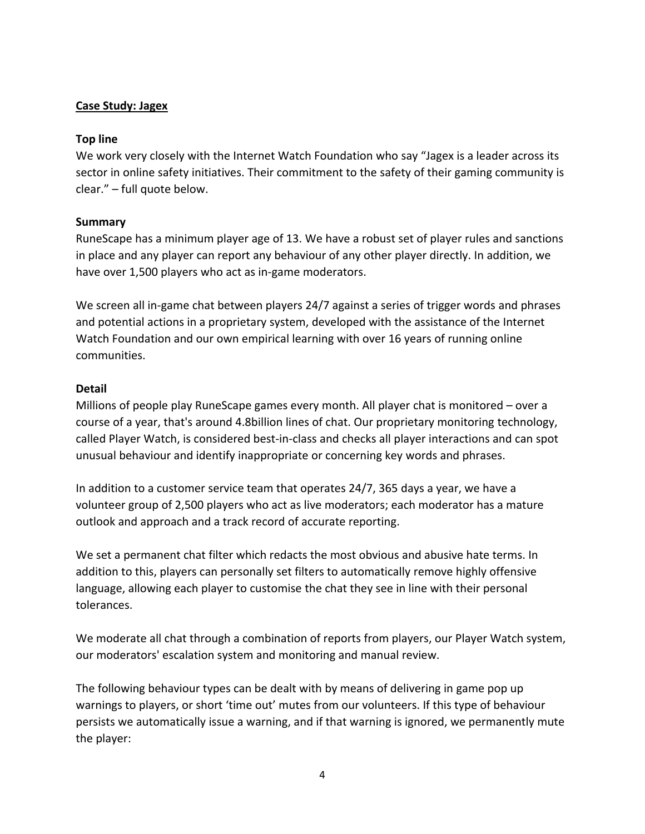### **Case Study: Jagex**

#### **Top line**

We work very closely with the Internet Watch Foundation who say "Jagex is a leader across its sector in online safety initiatives. Their commitment to the safety of their gaming community is clear." – full quote below.

### **Summary**

RuneScape has a minimum player age of 13. We have a robust set of player rules and sanctions in place and any player can report any behaviour of any other player directly. In addition, we have over 1,500 players who act as in-game moderators.

We screen all in-game chat between players 24/7 against a series of trigger words and phrases and potential actions in a proprietary system, developed with the assistance of the Internet Watch Foundation and our own empirical learning with over 16 years of running online communities.

### **Detail**

Millions of people play RuneScape games every month. All player chat is monitored – over a course of a year, that's around 4.8billion lines of chat. Our proprietary monitoring technology, called Player Watch, is considered best-in-class and checks all player interactions and can spot unusual behaviour and identify inappropriate or concerning key words and phrases.

In addition to a customer service team that operates 24/7, 365 days a year, we have a volunteer group of 2,500 players who act as live moderators; each moderator has a mature outlook and approach and a track record of accurate reporting.

We set a permanent chat filter which redacts the most obvious and abusive hate terms. In addition to this, players can personally set filters to automatically remove highly offensive language, allowing each player to customise the chat they see in line with their personal tolerances.

We moderate all chat through a combination of reports from players, our Player Watch system, our moderators' escalation system and monitoring and manual review.

The following behaviour types can be dealt with by means of delivering in game pop up warnings to players, or short 'time out' mutes from our volunteers. If this type of behaviour persists we automatically issue a warning, and if that warning is ignored, we permanently mute the player: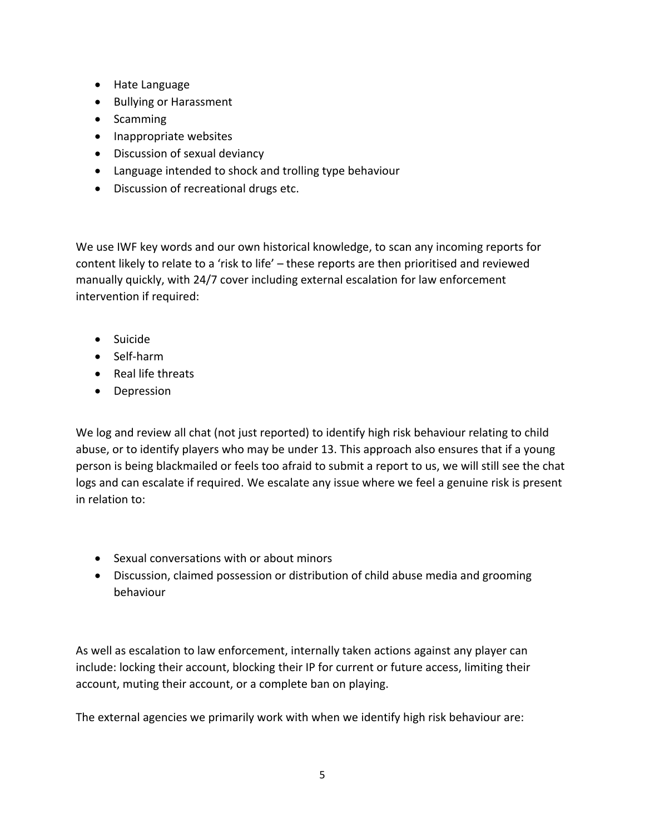- Hate Language
- Bullying or Harassment
- Scamming
- Inappropriate websites
- Discussion of sexual deviancy
- Language intended to shock and trolling type behaviour
- Discussion of recreational drugs etc.

We use IWF key words and our own historical knowledge, to scan any incoming reports for content likely to relate to a 'risk to life' – these reports are then prioritised and reviewed manually quickly, with 24/7 cover including external escalation for law enforcement intervention if required:

- Suicide
- Self-harm
- Real life threats
- Depression

We log and review all chat (not just reported) to identify high risk behaviour relating to child abuse, or to identify players who may be under 13. This approach also ensures that if a young person is being blackmailed or feels too afraid to submit a report to us, we will still see the chat logs and can escalate if required. We escalate any issue where we feel a genuine risk is present in relation to:

- Sexual conversations with or about minors
- Discussion, claimed possession or distribution of child abuse media and grooming behaviour

As well as escalation to law enforcement, internally taken actions against any player can include: locking their account, blocking their IP for current or future access, limiting their account, muting their account, or a complete ban on playing.

The external agencies we primarily work with when we identify high risk behaviour are: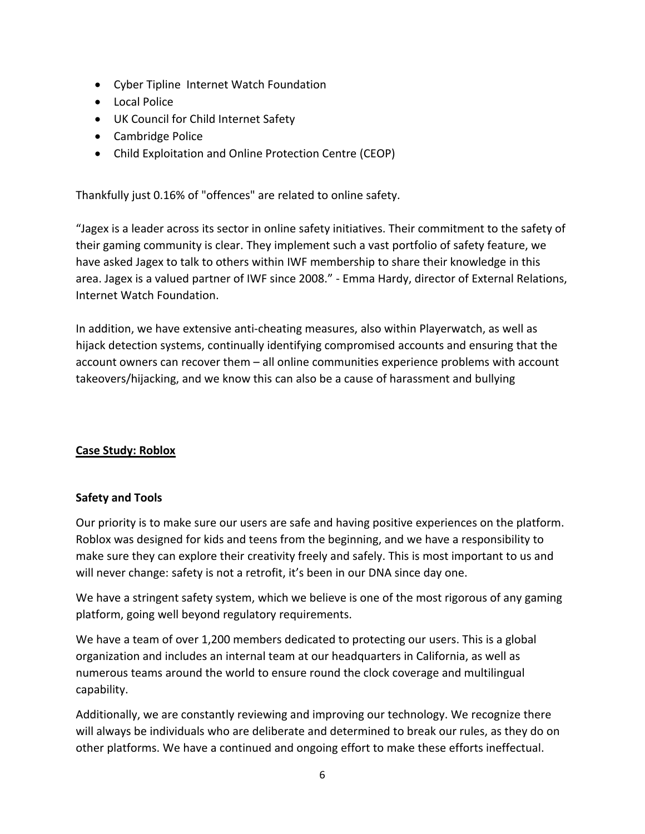- Cyber Tipline Internet Watch Foundation
- Local Police
- UK Council for Child Internet Safety
- Cambridge Police
- Child Exploitation and Online Protection Centre (CEOP)

Thankfully just 0.16% of "offences" are related to online safety.

"Jagex is a leader across its sector in online safety initiatives. Their commitment to the safety of their gaming community is clear. They implement such a vast portfolio of safety feature, we have asked Jagex to talk to others within IWF membership to share their knowledge in this area. Jagex is a valued partner of IWF since 2008." - Emma Hardy, director of External Relations, Internet Watch Foundation.

In addition, we have extensive anti-cheating measures, also within Playerwatch, as well as hijack detection systems, continually identifying compromised accounts and ensuring that the account owners can recover them – all online communities experience problems with account takeovers/hijacking, and we know this can also be a cause of harassment and bullying

# **Case Study: Roblox**

#### **Safety and Tools**

Our priority is to make sure our users are safe and having positive experiences on the platform. Roblox was designed for kids and teens from the beginning, and we have a responsibility to make sure they can explore their creativity freely and safely. This is most important to us and will never change: safety is not a retrofit, it's been in our DNA since day one.

We have a stringent safety system, which we believe is one of the most rigorous of any gaming platform, going well beyond regulatory requirements.

We have a team of over 1,200 members dedicated to protecting our users. This is a global organization and includes an internal team at our headquarters in California, as well as numerous teams around the world to ensure round the clock coverage and multilingual capability.

Additionally, we are constantly reviewing and improving our technology. We recognize there will always be individuals who are deliberate and determined to break our rules, as they do on other platforms. We have a continued and ongoing effort to make these efforts ineffectual.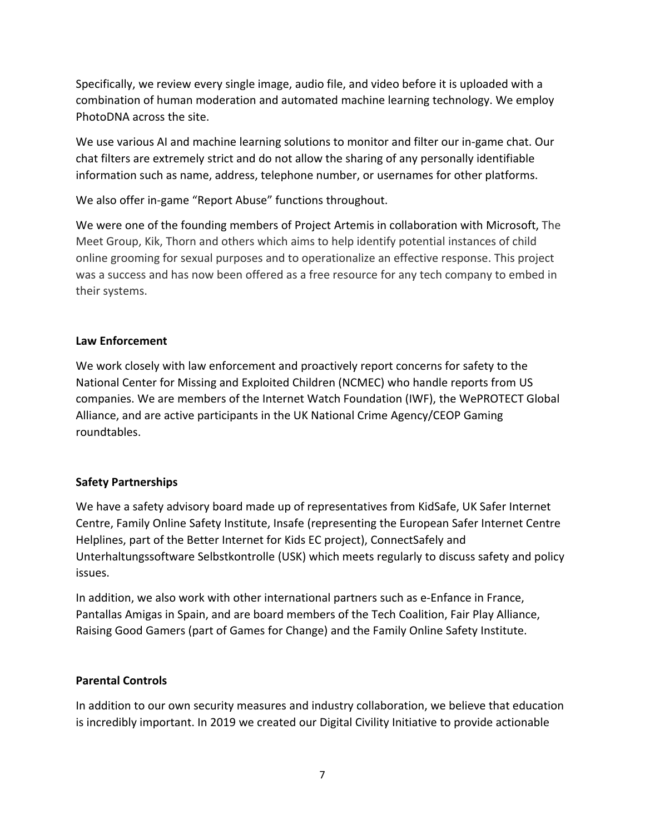Specifically, we review every single image, audio file, and video before it is uploaded with a combination of human moderation and automated machine learning technology. We employ PhotoDNA across the site.

We use various AI and machine learning solutions to monitor and filter our in-game chat. Our chat filters are extremely strict and do not allow the sharing of any personally identifiable information such as name, address, telephone number, or usernames for other platforms.

We also offer in-game "Report Abuse" functions throughout.

We were one of the founding members of Project Artemis in collaboration with Microsoft, The Meet Group, Kik, Thorn and others which aims to help identify potential instances of child online grooming for sexual purposes and to operationalize an effective response. This project was a success and has now been offered as a free resource for any tech company to embed in their systems.

# **Law Enforcement**

We work closely with law enforcement and proactively report concerns for safety to the National Center for Missing and Exploited Children (NCMEC) who handle reports from US companies. We are members of the Internet Watch Foundation (IWF), the WePROTECT Global Alliance, and are active participants in the UK National Crime Agency/CEOP Gaming roundtables.

# **Safety Partnerships**

We have a safety advisory board made up of representatives from KidSafe, UK Safer Internet Centre, Family Online Safety Institute, Insafe (representing the European Safer Internet Centre Helplines, part of the Better Internet for Kids EC project), ConnectSafely and Unterhaltungssoftware Selbstkontrolle (USK) which meets regularly to discuss safety and policy issues.

In addition, we also work with other international partners such as e-Enfance in France, Pantallas Amigas in Spain, and are board members of the Tech Coalition, Fair Play Alliance, Raising Good Gamers (part of Games for Change) and the Family Online Safety Institute.

# **Parental Controls**

In addition to our own security measures and industry collaboration, we believe that education is incredibly important. In 2019 we created our Digital Civility Initiative to provide actionable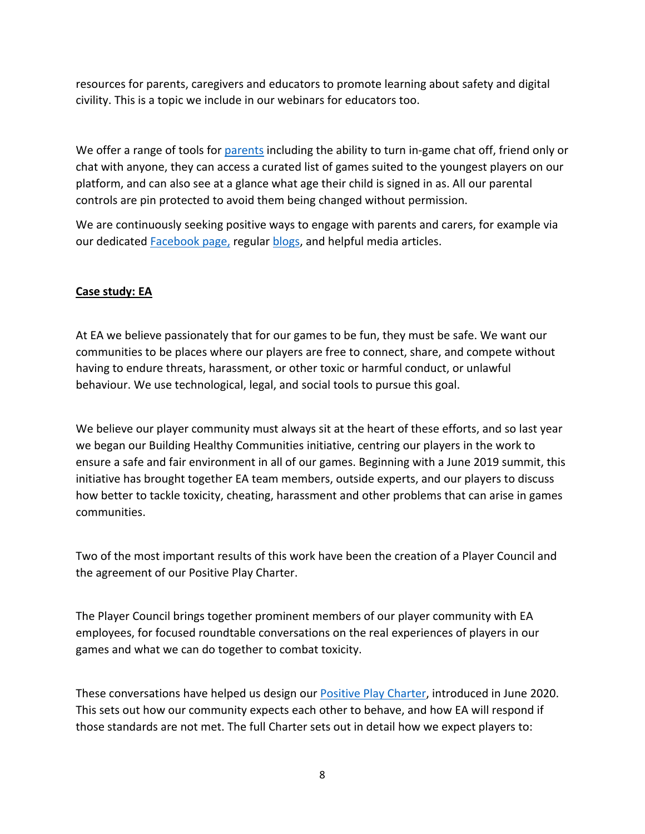resources for parents, caregivers and educators to promote learning about safety and digital civility. This is a topic we include in our webinars for educators too.

We offer a range of tools for [parents](https://corp.roblox.com/parents) including the ability to turn in-game chat off, friend only or chat with anyone, they can access a curated list of games suited to the youngest players on our platform, and can also see at a glance what age their child is signed in as. All our parental controls are pin protected to avoid them being changed without permission.

We are continuously seeking positive ways to engage with parents and carers, for example via our dedicated **[Facebook](https://www.facebook.com/RobloxCivility/) [page,](https://www.facebook.com/RobloxCivility/) regular blogs**, and helpful media articles.

### **Case study: EA**

At EA we believe passionately that for our games to be fun, they must be safe. We want our communities to be places where our players are free to connect, share, and compete without having to endure threats, harassment, or other toxic or harmful conduct, or unlawful behaviour. We use technological, legal, and social tools to pursue this goal.

We believe our player community must always sit at the heart of these efforts, and so last year we began our Building Healthy Communities initiative, centring our players in the work to ensure a safe and fair environment in all of our games. Beginning with a June 2019 summit, this initiative has brought together EA team members, outside experts, and our players to discuss how better to tackle toxicity, cheating, harassment and other problems that can arise in games communities.

Two of the most important results of this work have been the creation of a Player Council and the agreement of our Positive Play Charter.

The Player Council brings together prominent members of our player community with EA employees, for focused roundtable conversations on the real experiences of players in our games and what we can do together to combat toxicity.

These conversations have helped us design our [Positive](https://www.ea.com/commitments/positive-play/charter) [Play](https://www.ea.com/commitments/positive-play/charter) [Charter,](https://www.ea.com/commitments/positive-play/charter) introduced in June 2020. This sets out how our community expects each other to behave, and how EA will respond if those standards are not met. The full Charter sets out in detail how we expect players to: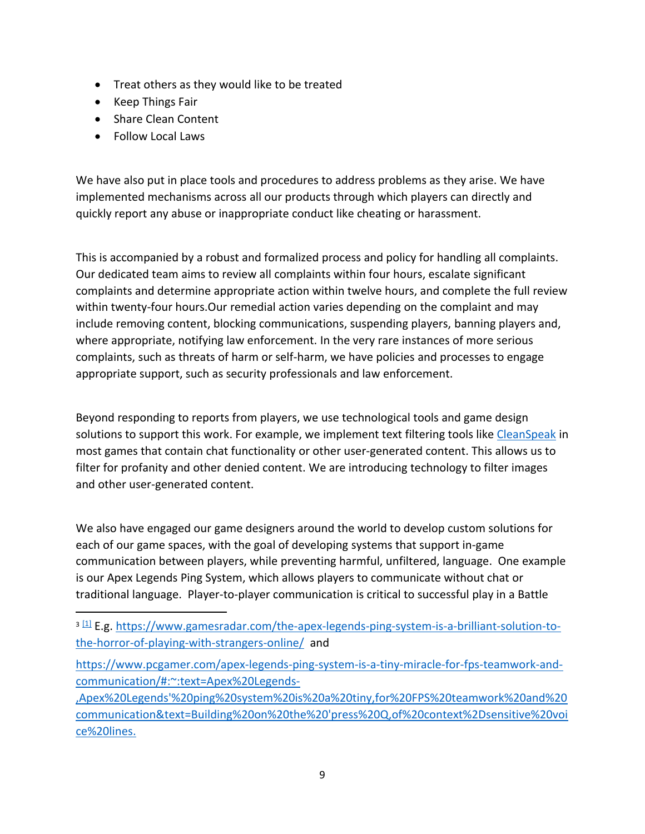- Treat others as they would like to be treated
- Keep Things Fair
- Share Clean Content
- Follow Local Laws

We have also put in place tools and procedures to address problems as they arise. We have implemented mechanisms across all our products through which players can directly and quickly report any abuse or inappropriate conduct like cheating or harassment.

This is accompanied by a robust and formalized process and policy for handling all complaints. Our dedicated team aims to review all complaints within four hours, escalate significant complaints and determine appropriate action within twelve hours, and complete the full review within twenty-four hours.Our remedial action varies depending on the complaint and may include removing content, blocking communications, suspending players, banning players and, where appropriate, notifying law enforcement. In the very rare instances of more serious complaints, such as threats of harm or self-harm, we have policies and processes to engage appropriate support, such as security professionals and law enforcement.

Beyond responding to reports from players, we use technological tools and game design solutions to support this work. For example, we implement text filtering tools like [CleanSpeak](https://cleanspeak.com/products/profanity-filter) in most games that contain chat functionality or other user-generated content. This allows us to filter for profanity and other denied content. We are introducing technology to filter images and other user-generated content.

We also have engaged our game designers around the world to develop custom solutions for each of our game spaces, with the goal of developing systems that support in-game communication between players, while preventing harmful, unfiltered, language. One example is our Apex Legends Ping System, which allows players to communicate without chat or traditional language. Player-to-player communication is critical to successful play in a Battle

[https://www.pcgamer.com/apex-legends-ping-system-is-a-tiny-miracle-for-fps-teamwork-and](https://www.pcgamer.com/apex-legends-ping-system-is-a-tiny-miracle-for-fps-teamwork-and-communication/#:~:text=Apex%20Legends-,Apex%20Legends)[communication/#:~:text=Apex%20Legends-](https://www.pcgamer.com/apex-legends-ping-system-is-a-tiny-miracle-for-fps-teamwork-and-communication/#:~:text=Apex%20Legends-,Apex%20Legends)

[,Apex%20Legends'%20ping%20system%20is%20a%20tiny,for%20FPS%20teamwork%20and%20](https://www.pcgamer.com/apex-legends-ping-system-is-a-tiny-miracle-for-fps-teamwork-and-communication/#:~:text=Apex%20Legends-,Apex%20Legends) [communication&text=Building%20on%20the%20'press%20Q,of%20context%2Dsensitive%20voi](https://www.pcgamer.com/apex-legends-ping-system-is-a-tiny-miracle-for-fps-teamwork-and-communication/#:~:text=Apex%20Legends-,Apex%20Legends) [ce%20lines.](https://www.pcgamer.com/apex-legends-ping-system-is-a-tiny-miracle-for-fps-teamwork-and-communication/#:~:text=Apex%20Legends-,Apex%20Legends)

<sup>&</sup>lt;sup>3 [\[1\]](file:///C:/Users/GraceShin/AppData/Local/Microsoft/Windows/INetCache/Content.Outlook/TNZ9QE1U/EA%2520Case%2520study%2520for%2520Ukie%2520submission%2520to%2520petitions%2520committee%2520on%2520tackling%2520online%2520abuse%2520(final)%2520(002).docx%23_ftnref1)</sup> E.g. [https://www.gamesradar.com/the-apex-legends-ping-system-is-a-brilliant-solution-to](https://www.gamesradar.com/the-apex-legends-ping-system-is-a-brilliant-solution-to-the-horror-of-playing-with-strangers-online/)[the-horror-of-playing-with-strangers-online/](https://www.gamesradar.com/the-apex-legends-ping-system-is-a-brilliant-solution-to-the-horror-of-playing-with-strangers-online/) and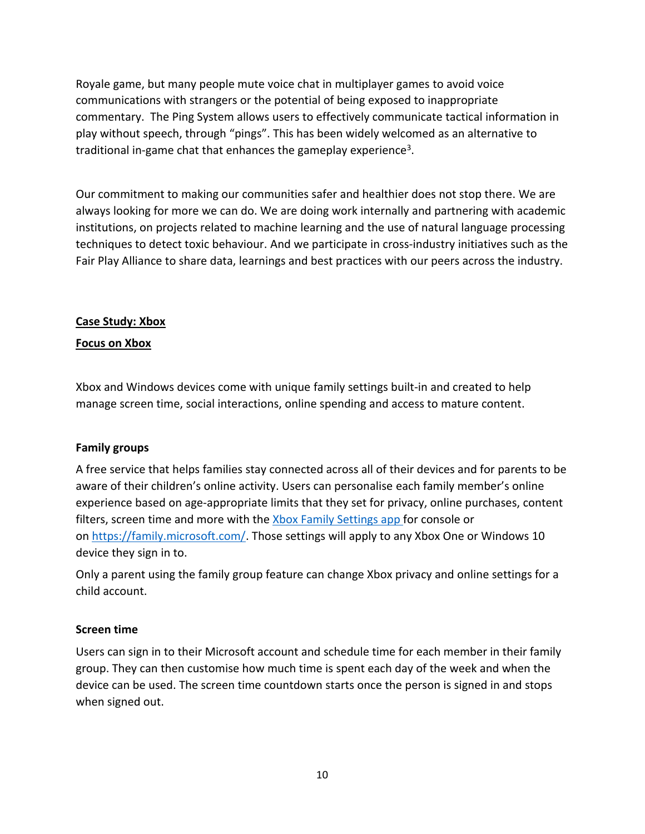Royale game, but many people mute voice chat in multiplayer games to avoid voice communications with strangers or the potential of being exposed to inappropriate commentary. The Ping System allows users to effectively communicate tactical information in play without speech, through "pings". This has been widely welcomed as an alternative to traditional in-game chat that enhances the gameplay experience<sup>3</sup>.

Our commitment to making our communities safer and healthier does not stop there. We are always looking for more we can do. We are doing work internally and partnering with academic institutions, on projects related to machine learning and the use of natural language processing techniques to detect toxic behaviour. And we participate in cross-industry initiatives such as the Fair Play Alliance to share data, learnings and best practices with our peers across the industry.

### **Case Study: Xbox**

#### **Focus on Xbox**

Xbox and Windows devices come with unique family settings built-in and created to help manage screen time, social interactions, online spending and access to mature content.

#### **Family groups**

A free service that helps families stay connected across all of their devices and for parents to be aware of their children's online activity. Users can personalise each family member's online experience based on age-appropriate limits that they set for privacy, online purchases, content filters, screen time and more with the [Xbox](https://www.xbox.com/apps/family-settings-app) [Family](https://www.xbox.com/apps/family-settings-app) [Settings](https://www.xbox.com/apps/family-settings-app) [app](https://www.xbox.com/apps/family-settings-app) for console or on <https://family.microsoft.com/>. Those settings will apply to any Xbox One or Windows 10 device they sign in to.

Only a parent using the family group feature can change Xbox privacy and online settings for a child account.

#### **Screen time**

Users can sign in to their Microsoft account and schedule time for each member in their family group. They can then customise how much time is spent each day of the week and when the device can be used. The screen time countdown starts once the person is signed in and stops when signed out.